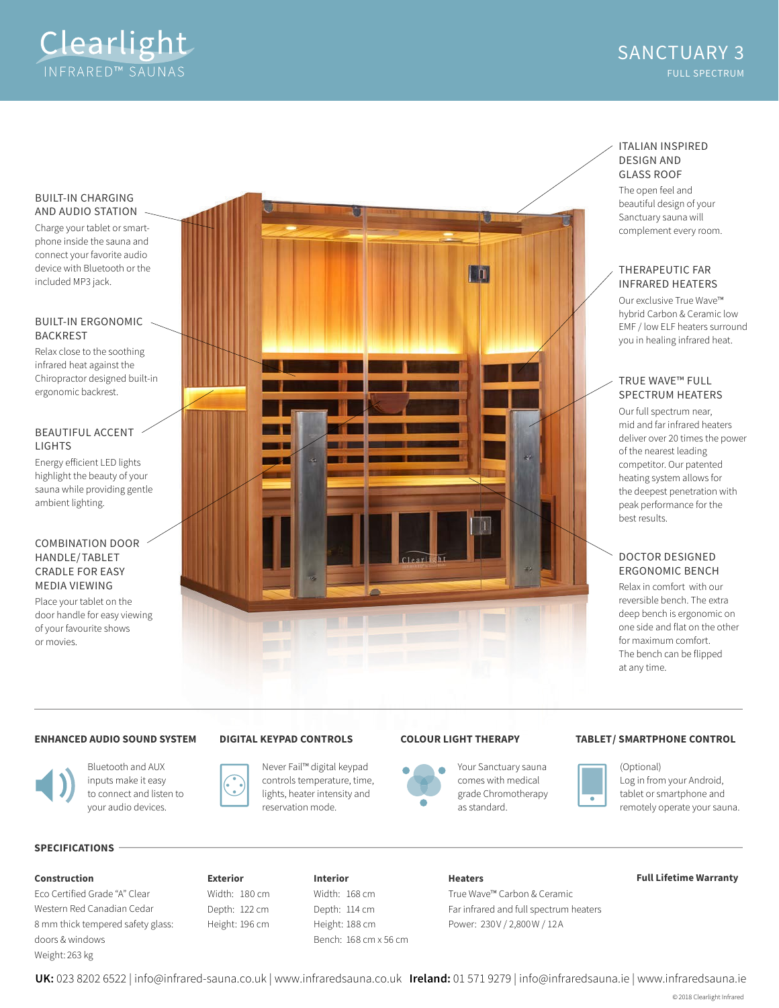

#### BUILT-IN CHARGING AND AUDIO STATION

Charge your tablet or smartphone inside the sauna and connect your favorite audio device with Bluetooth or the included MP3 jack.

#### BUILT-IN ERGONOMIC BACKREST

Relax close to the soothing infrared heat against the Chiropractor designed built-in ergonomic backrest.

## BEAUTIFUL ACCENT LIGHTS

Energy eficient LED lights highlight the beauty of your sauna while providing gentle ambient lighting.

## COMBINATION DOOR HANDLE/TABLET CRADLE FOR EASY MEDIA VIEWING

Place your tablet on the door handle for easy viewing of your favourite shows or movies.



# ITALIAN INSPIRED DESIGN AND GLASS ROOF

The open feel and beautiful design of your Sanctuary sauna will complement every room.

## THERAPEUTIC FAR INFRARED HEATERS

Our exclusive True Wave™ hybrid Carbon & Ceramic low EMF / low ELF heaters surround you in healing infrared heat.

# TRUE WAVE™ FULL SPECTRUM HEATERS

Our full spectrum near, mid and far infrared heaters deliver over 20 times the power of the nearest leading competitor. Our patented heating system allows for the deepest penetration with peak performance for the best results.

# DOCTOR DESIGNED ERGONOMIC BENCH

Relax in comfort with our reversible bench. The extra deep bench is ergonomic on one side and flat on the other for maximum comfort. The bench can be flipped at any time.

## **ENHANCED AUDIO SOUND SYSTEM**



Bluetooth and AUX inputs make it easy to connect and listen to your audio devices.

## **DIGITAL KEYPAD CONTROLS**





Your Sanctuary sauna comes with medical grade Chromotherapy as standard.

### **COLOUR LIGHT THERAPY TABLET/ SMARTPHONE CONTROL**



(Optional) Log in from your Android, tablet or smartphone and remotely operate your sauna.

# **SPECIFICATIONS**

Eco Certified Grade "A" Clear Western Red Canadian Cedar 8 mm thick tempered safety glass: doors & windows Weight: 263 kg

**Exterior** Width: 180 cm Depth: 122 cm Height: 196 cm

### **Interior** Width: 168 cm Depth: 114 cm Height: 188 cm Bench: 168 cm x 56 cm

#### **Heaters**

True Wave™ Carbon & Ceramic Far infrared and full spectrum heaters Power: 230V / 2,800W / 12A

#### **Construction Full Lifetime Warranty**

**UK:** 023 8202 6522 | info@infrared-sauna.co.uk | www.infraredsauna.co.uk **Ireland:** 01 571 9279 | info@infraredsauna.ie | www.infraredsauna.ie

© 2018 Clearlight Infrared